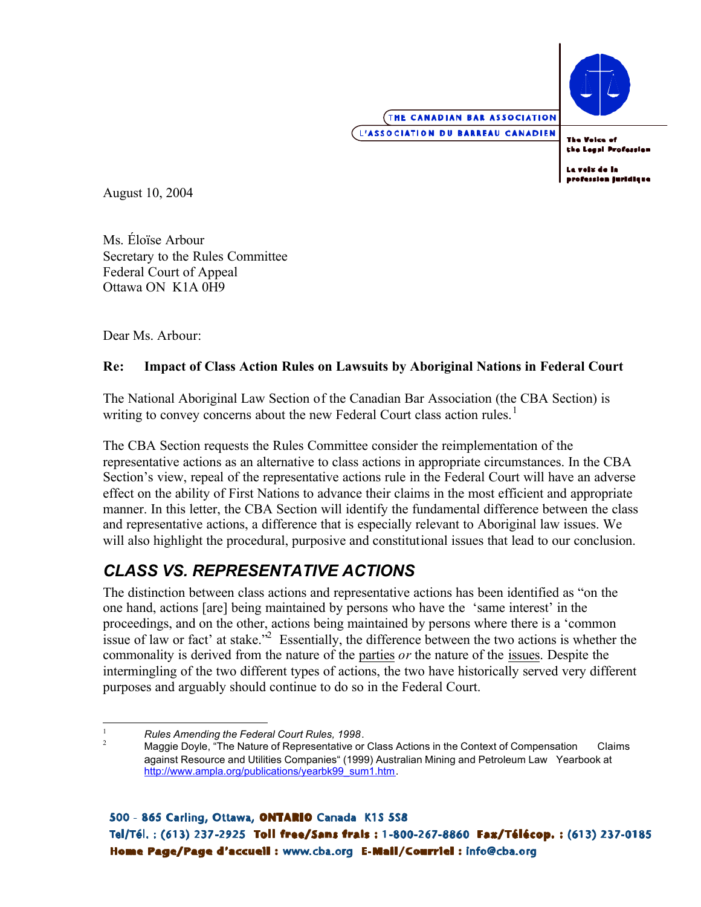

**The Voice of** the Legal Profession

La voix de la profession juridique

August 10, 2004

Ms. Éloïse Arbour Secretary to the Rules Committee Federal Court of Appeal Ottawa ON K1A 0H9

Dear Ms. Arbour:

#### **Re: Impact of Class Action Rules on Lawsuits by Aboriginal Nations in Federal Court**

writing to convey concerns about the new Federal Court class action rules.<sup>1</sup> The National Aboriginal Law Section of the Canadian Bar Association (the CBA Section) is

The CBA Section requests the Rules Committee consider the reimplementation of the representative actions as an alternative to class actions in appropriate circumstances. In the CBA Section's view, repeal of the representative actions rule in the Federal Court will have an adverse effect on the ability of First Nations to advance their claims in the most efficient and appropriate manner. In this letter, the CBA Section will identify the fundamental difference between the class and representative actions, a difference that is especially relevant to Aboriginal law issues. We will also highlight the procedural, purposive and constitutional issues that lead to our conclusion.

## *CLASS VS. REPRESENTATIVE ACTIONS*

 commonality is derived from the nature of the parties *or* the nature of the issues. Despite the The distinction between class actions and representative actions has been identified as "on the one hand, actions [are] being maintained by persons who have the 'same interest' in the proceedings, and on the other, actions being maintained by persons where there is a 'common issue of law or fact' at stake.<sup> $2^2$ </sup> Essentially, the difference between the two actions is whether the intermingling of the two different types of actions, the two have historically served very different purposes and arguably should continue to do so in the Federal Court.

 $\mathbf{1}$ 

<sup>&</sup>lt;sup>1</sup><br><sup>2</sup>Maggie Doyle, "The Nature of Representative or Class Actions in the Context of Compensation Claims against Resource and Utilities Companies" (1999) Australian Mining and Petroleum Law Yearbook at http://www.ampla.org/publications/yearbk99\_sum1.htm.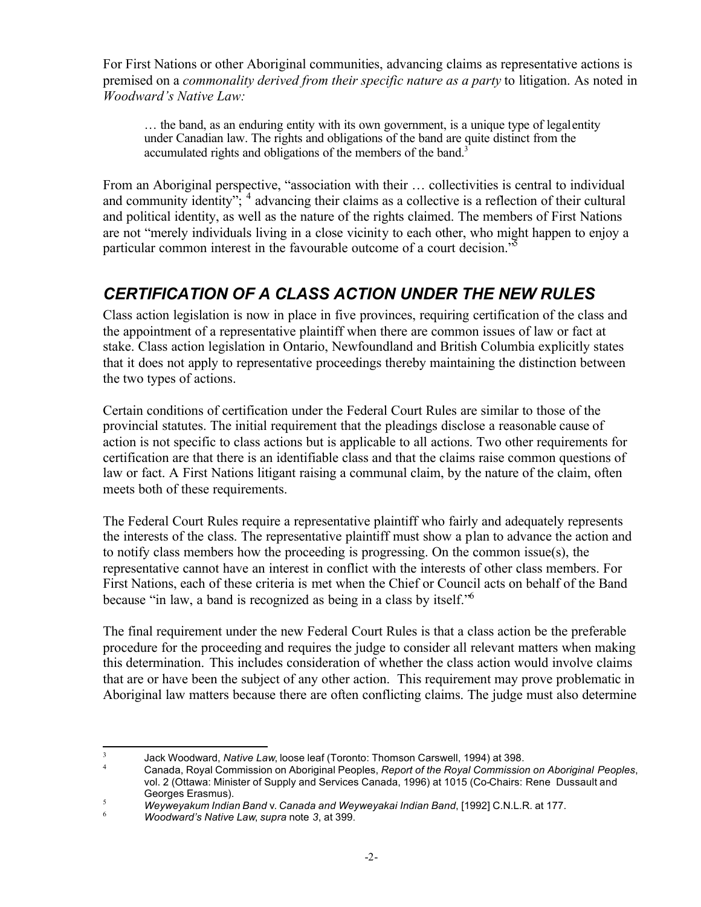For First Nations or other Aboriginal communities, advancing claims as representative actions is premised on a *commonality derived from their specific nature as a party* to litigation. As noted in *Woodward's Native Law:* 

… the band, as an enduring entity with its own government, is a unique type of legal entity under Canadian law. The rights and obligations of the band are quite distinct from the accumulated rights and obligations of the members of the band.<sup>3</sup>

From an Aboriginal perspective, "association with their … collectivities is central to individual and community identity"; <sup>4</sup> advancing their claims as a collective is a reflection of their cultural and political identity, as well as the nature of the rights claimed. The members of First Nations are not "merely individuals living in a close vicinity to each other, who might happen to enjoy a particular common interest in the favourable outcome of a court decision.<sup>"5</sup>

# *CERTIFICATION OF A CLASS ACTION UNDER THE NEW RULES*

Class action legislation is now in place in five provinces, requiring certification of the class and the appointment of a representative plaintiff when there are common issues of law or fact at stake. Class action legislation in Ontario, Newfoundland and British Columbia explicitly states that it does not apply to representative proceedings thereby maintaining the distinction between the two types of actions.

Certain conditions of certification under the Federal Court Rules are similar to those of the provincial statutes. The initial requirement that the pleadings disclose a reasonable cause of action is not specific to class actions but is applicable to all actions. Two other requirements for certification are that there is an identifiable class and that the claims raise common questions of law or fact. A First Nations litigant raising a communal claim, by the nature of the claim, often meets both of these requirements.

because "in law, a band is recognized as being in a class by itself."<sup>6</sup> The Federal Court Rules require a representative plaintiff who fairly and adequately represents the interests of the class. The representative plaintiff must show a plan to advance the action and to notify class members how the proceeding is progressing. On the common issue(s), the representative cannot have an interest in conflict with the interests of other class members. For First Nations, each of these criteria is met when the Chief or Council acts on behalf of the Band

The final requirement under the new Federal Court Rules is that a class action be the preferable procedure for the proceeding and requires the judge to consider all relevant matters when making this determination. This includes consideration of whether the class action would involve claims that are or have been the subject of any other action. This requirement may prove problematic in Aboriginal law matters because there are often conflicting claims. The judge must also determine

 3 Jack Woodward, *Native Law*, loose leaf (Toronto: Thomson Carswell, 1994) at 398. <sup>4</sup>

Canada, Royal Commission on Aboriginal Peoples, *Report of the Royal Commission on Aboriginal Peoples*, vol. 2 (Ottawa: Minister of Supply and Services Canada, 1996) at 1015 (Co-Chairs: Rene Dussault and<br>Georges Erasmus).

Georges Erasmus). <sup>5</sup>*Weyweyakum Indian Band* v. *Canada and Weyweyakai Indian Band*, [1992] C.N.L.R. at 177. <sup>6</sup>

*Woodward's Native Law*, *supra* note *3*, at 399.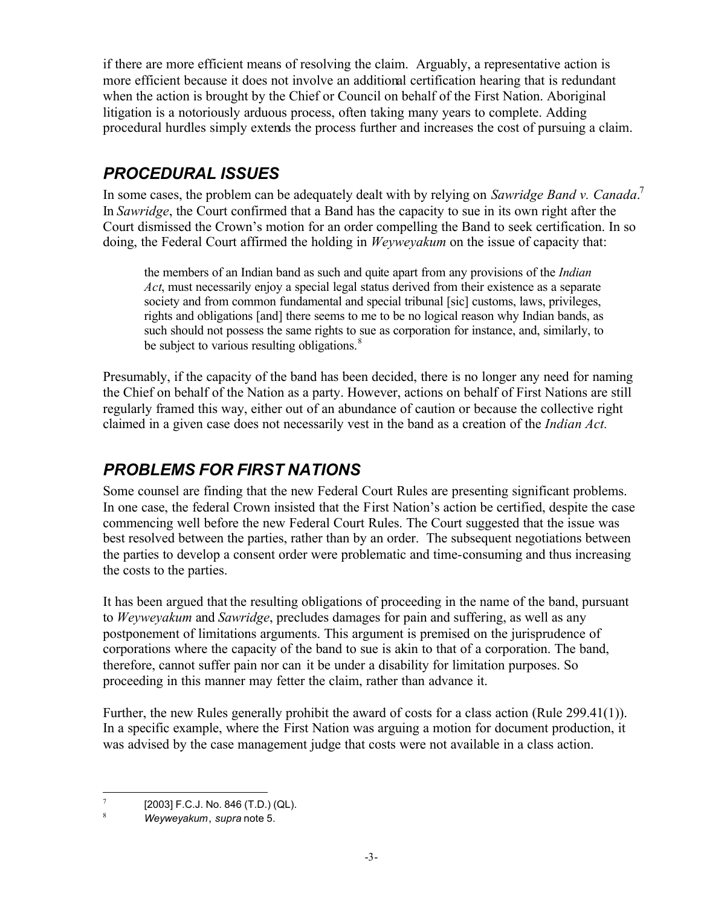if there are more efficient means of resolving the claim. Arguably, a representative action is more efficient because it does not involve an additional certification hearing that is redundant when the action is brought by the Chief or Council on behalf of the First Nation. Aboriginal litigation is a notoriously arduous process, often taking many years to complete. Adding procedural hurdles simply extends the process further and increases the cost of pursuing a claim.

# *PROCEDURAL ISSUES*

In some cases, the problem can be adequately dealt with by relying on *Sawridge Band v. Canada*. 7 In *Sawridge*, the Court confirmed that a Band has the capacity to sue in its own right after the Court dismissed the Crown's motion for an order compelling the Band to seek certification. In so doing, the Federal Court affirmed the holding in *Weyweyakum* on the issue of capacity that:

be subject to various resulting obligations.<sup>8</sup> the members of an Indian band as such and quite apart from any provisions of the *Indian Act*, must necessarily enjoy a special legal status derived from their existence as a separate society and from common fundamental and special tribunal [sic] customs, laws, privileges, rights and obligations [and] there seems to me to be no logical reason why Indian bands, as such should not possess the same rights to sue as corporation for instance, and, similarly, to

Presumably, if the capacity of the band has been decided, there is no longer any need for naming the Chief on behalf of the Nation as a party. However, actions on behalf of First Nations are still regularly framed this way, either out of an abundance of caution or because the collective right claimed in a given case does not necessarily vest in the band as a creation of the *Indian Act.* 

## *PROBLEMS FOR FIRST NATIONS*

Some counsel are finding that the new Federal Court Rules are presenting significant problems. In one case, the federal Crown insisted that the First Nation's action be certified, despite the case commencing well before the new Federal Court Rules. The Court suggested that the issue was best resolved between the parties, rather than by an order. The subsequent negotiations between the parties to develop a consent order were problematic and time-consuming and thus increasing the costs to the parties.

It has been argued that the resulting obligations of proceeding in the name of the band, pursuant to *Weyweyakum* and *Sawridge*, precludes damages for pain and suffering, as well as any postponement of limitations arguments. This argument is premised on the jurisprudence of corporations where the capacity of the band to sue is akin to that of a corporation. The band, therefore, cannot suffer pain nor can it be under a disability for limitation purposes. So proceeding in this manner may fetter the claim, rather than advance it.

Further, the new Rules generally prohibit the award of costs for a class action (Rule 299.41(1)). In a specific example, where the First Nation was arguing a motion for document production, it was advised by the case management judge that costs were not available in a class action.

 7  $^{7}$  [2003] F.C.J. No. 846 (T.D.) (QL).

<sup>8</sup>*Weyweyakum*, *supra* note 5.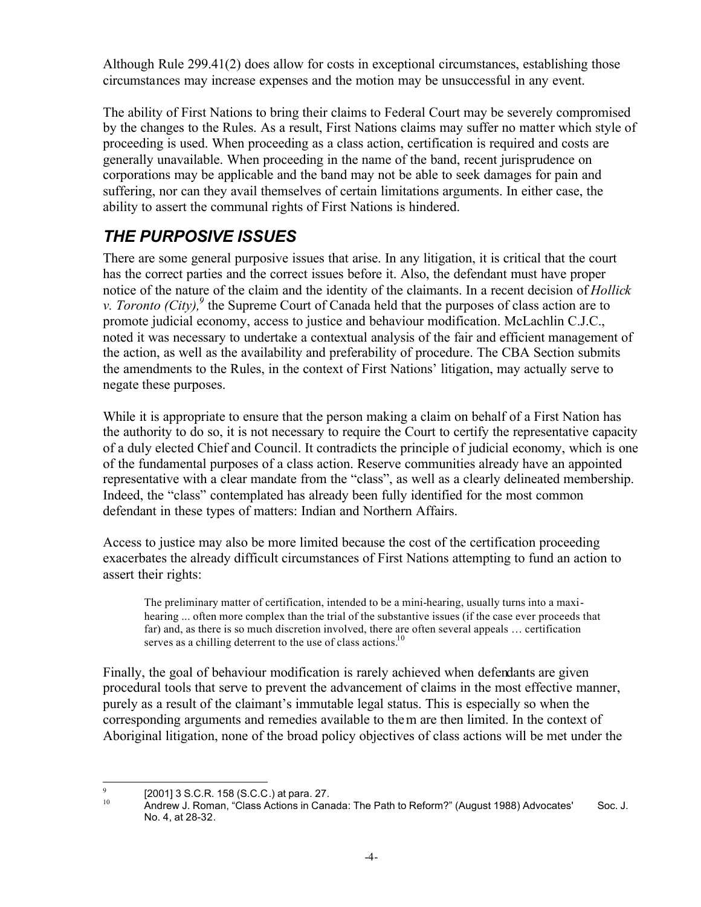Although Rule 299.41(2) does allow for costs in exceptional circumstances, establishing those circumstances may increase expenses and the motion may be unsuccessful in any event.

The ability of First Nations to bring their claims to Federal Court may be severely compromised by the changes to the Rules. As a result, First Nations claims may suffer no matter which style of proceeding is used. When proceeding as a class action, certification is required and costs are generally unavailable. When proceeding in the name of the band, recent jurisprudence on corporations may be applicable and the band may not be able to seek damages for pain and suffering, nor can they avail themselves of certain limitations arguments. In either case, the ability to assert the communal rights of First Nations is hindered.

# *THE PURPOSIVE ISSUES*

There are some general purposive issues that arise. In any litigation, it is critical that the court has the correct parties and the correct issues before it. Also, the defendant must have proper notice of the nature of the claim and the identity of the claimants. In a recent decision of *Hollick v. Toronto (City)*, <sup>9</sup> the Supreme Court of Canada held that the purposes of class action are to promote judicial economy, access to justice and behaviour modification. McLachlin C.J.C., noted it was necessary to undertake a contextual analysis of the fair and efficient management of the action, as well as the availability and preferability of procedure. The CBA Section submits the amendments to the Rules, in the context of First Nations' litigation, may actually serve to negate these purposes.

While it is appropriate to ensure that the person making a claim on behalf of a First Nation has the authority to do so, it is not necessary to require the Court to certify the representative capacity of a duly elected Chief and Council. It contradicts the principle of judicial economy, which is one of the fundamental purposes of a class action. Reserve communities already have an appointed representative with a clear mandate from the "class", as well as a clearly delineated membership. Indeed, the "class" contemplated has already been fully identified for the most common defendant in these types of matters: Indian and Northern Affairs.

Access to justice may also be more limited because the cost of the certification proceeding exacerbates the already difficult circumstances of First Nations attempting to fund an action to assert their rights:

The preliminary matter of certification, intended to be a mini-hearing, usually turns into a maxihearing ... often more complex than the trial of the substantive issues (if the case ever proceeds that far) and, as there is so much discretion involved, there are often several appeals … certification serves as a chilling deterrent to the use of class actions.<sup>10</sup>

Finally, the goal of behaviour modification is rarely achieved when defendants are given procedural tools that serve to prevent the advancement of claims in the most effective manner, purely as a result of the claimant's immutable legal status. This is especially so when the corresponding arguments and remedies available to them are then limited. In the context of Aboriginal litigation, none of the broad policy objectives of class actions will be met under the

 $\overline{9}$ 

 $\frac{9}{10}$  [2001] 3 S.C.R. 158 (S.C.C.) at para. 27.<br><sup>10</sup> Andrew J. Roman, "Class Actions in Canada: The Path to Reform?" (August 1988) Advocates' Soc. J. No. 4, at 28-32.